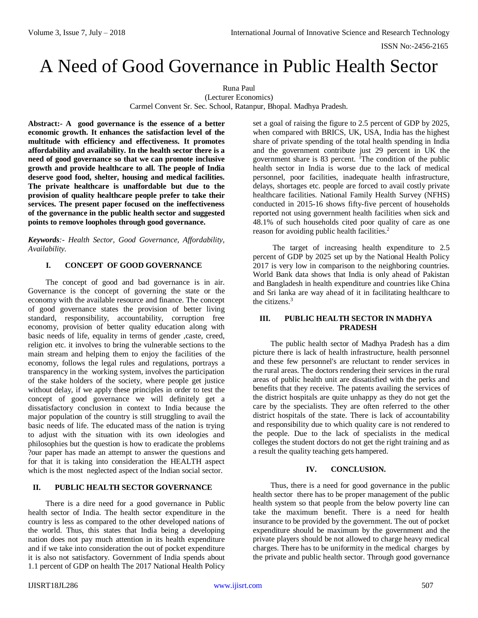# A Need of Good Governance in Public Health Sector

Runa Paul (Lecturer Economics) Carmel Convent Sr. Sec. School, Ratanpur, Bhopal. Madhya Pradesh.

**Abstract:- A good governance is the essence of a better economic growth. It enhances the satisfaction level of the multitude with efficiency and effectiveness. It promotes affordability and availability. In the health sector there is a need of good governance so that we can promote inclusive growth and provide healthcare to all. The people of India deserve good food, shelter, housing and medical facilities. The private healthcare is unaffordable but due to the provision of quality healthcare people prefer to take their services. The present paper focused on the ineffectiveness of the governance in the public health sector and suggested points to remove loopholes through good governance.**

*Keywords:- Health Sector, Good Governance, Affordability, Availability.*

## **I. CONCEPT OF GOOD GOVERNANCE**

The concept of good and bad governance is in air. Governance is the concept of governing the state or the economy with the available resource and finance. The concept of good governance states the provision of better living standard, responsibility, accountability, corruption free economy, provision of better quality education along with basic needs of life, equality in terms of gender ,caste, creed, religion etc. it involves to bring the vulnerable sections to the main stream and helping them to enjoy the facilities of the economy, follows the legal rules and regulations, portrays a transparency in the working system, involves the participation of the stake holders of the society, where people get justice without delay, if we apply these principles in order to test the concept of good governance we will definitely get a dissatisfactory conclusion in context to India because the major population of the country is still struggling to avail the basic needs of life. The educated mass of the nation is trying to adjust with the situation with its own ideologies and philosophies but the question is how to eradicate the problems ?our paper has made an attempt to answer the questions and for that it is taking into consideration the HEALTH aspect which is the most neglected aspect of the Indian social sector.

# **II. PUBLIC HEALTH SECTOR GOVERNANCE**

There is a dire need for a good governance in Public health sector of India. The health sector expenditure in the country is less as compared to the other developed nations of the world. Thus, this states that India being a developing nation does not pay much attention in its health expenditure and if we take into consideration the out of pocket expenditure it is also not satisfactory. Government of India spends about 1.1 percent of GDP on health The 2017 National Health Policy

set a goal of raising the figure to 2.5 percent of GDP by 2025, when compared with BRICS, UK, USA, India has the highest share of private spending of the total health spending in India and the government contribute just 29 percent in UK the government share is  $83$  percent. <sup>1</sup>The condition of the public health sector in India is worse due to the lack of medical personnel, poor facilities, inadequate health infrastructure, delays, shortages etc. people are forced to avail costly private healthcare facilities. National Family Health Survey (NFHS) conducted in 2015-16 shows fifty-five percent of households reported not using government health facilities when sick and 48.1% of such households cited poor quality of care as one reason for avoiding public health facilities.<sup>2</sup>

The target of increasing health expenditure to 2.5 percent of GDP by 2025 set up by the National Health Policy 2017 is very low in comparison to the neighboring countries. World Bank data shows that India is only ahead of Pakistan and Bangladesh in health expenditure and countries like China and Sri lanka are way ahead of it in facilitating healthcare to the citizens.<sup>3</sup>

#### **III. PUBLIC HEALTH SECTOR IN MADHYA PRADESH**

The public health sector of Madhya Pradesh has a dim picture there is lack of health infrastructure, health personnel and these few personnel's are reluctant to render services in the rural areas. The doctors rendering their services in the rural areas of public health unit are dissatisfied with the perks and benefits that they receive. The patents availing the services of the district hospitals are quite unhappy as they do not get the care by the specialists. They are often referred to the other district hospitals of the state. There is lack of accountability and responsibility due to which quality care is not rendered to the people. Due to the lack of specialists in the medical colleges the student doctors do not get the right training and as a result the quality teaching gets hampered.

#### **IV. CONCLUSION.**

Thus, there is a need for good governance in the public health sector there has to be proper management of the public health system so that people from the below poverty line can take the maximum benefit. There is a need for health insurance to be provided by the government. The out of pocket expenditure should be maximum by the government and the private players should be not allowed to charge heavy medical charges. There has to be uniformity in the medical charges by the private and public health sector. Through good governance